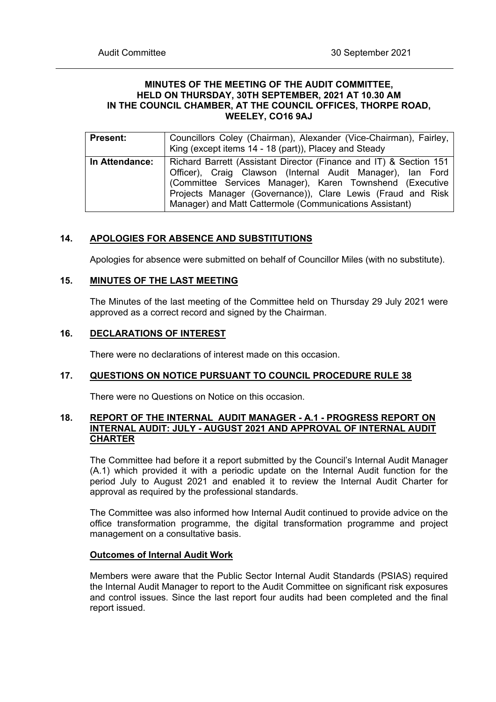## **MINUTES OF THE MEETING OF THE AUDIT COMMITTEE, HELD ON THURSDAY, 30TH SEPTEMBER, 2021 AT 10.30 AM IN THE COUNCIL CHAMBER, AT THE COUNCIL OFFICES, THORPE ROAD, WEELEY, CO16 9AJ**

| <b>Present:</b> | Councillors Coley (Chairman), Alexander (Vice-Chairman), Fairley,<br>King (except items 14 - 18 (part)), Placey and Steady                                                                                                                                                                                             |
|-----------------|------------------------------------------------------------------------------------------------------------------------------------------------------------------------------------------------------------------------------------------------------------------------------------------------------------------------|
| In Attendance:  | Richard Barrett (Assistant Director (Finance and IT) & Section 151<br>Officer), Craig Clawson (Internal Audit Manager), Ian Ford<br>(Committee Services Manager), Karen Townshend (Executive<br>Projects Manager (Governance)), Clare Lewis (Fraud and Risk<br>Manager) and Matt Cattermole (Communications Assistant) |

# **14. APOLOGIES FOR ABSENCE AND SUBSTITUTIONS**

Apologies for absence were submitted on behalf of Councillor Miles (with no substitute).

# **15. MINUTES OF THE LAST MEETING**

The Minutes of the last meeting of the Committee held on Thursday 29 July 2021 were approved as a correct record and signed by the Chairman.

# **16. DECLARATIONS OF INTEREST**

There were no declarations of interest made on this occasion.

# **17. QUESTIONS ON NOTICE PURSUANT TO COUNCIL PROCEDURE RULE 38**

There were no Questions on Notice on this occasion.

# **18. REPORT OF THE INTERNAL AUDIT MANAGER - A.1 - PROGRESS REPORT ON INTERNAL AUDIT: JULY - AUGUST 2021 AND APPROVAL OF INTERNAL AUDIT CHARTER**

The Committee had before it a report submitted by the Council's Internal Audit Manager (A.1) which provided it with a periodic update on the Internal Audit function for the period July to August 2021 and enabled it to review the Internal Audit Charter for approval as required by the professional standards.

The Committee was also informed how Internal Audit continued to provide advice on the office transformation programme, the digital transformation programme and project management on a consultative basis.

## **Outcomes of Internal Audit Work**

Members were aware that the Public Sector Internal Audit Standards (PSIAS) required the Internal Audit Manager to report to the Audit Committee on significant risk exposures and control issues. Since the last report four audits had been completed and the final report issued.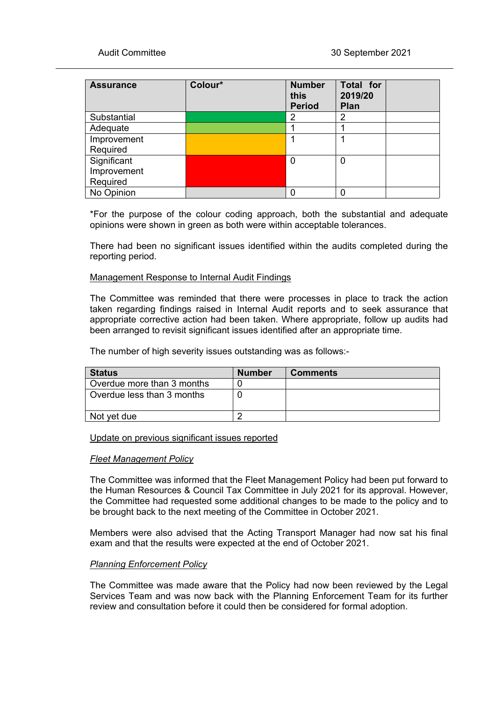| <b>Assurance</b> | Colour* | <b>Number</b><br>this<br><b>Period</b> | Total for<br>2019/20<br>Plan |  |
|------------------|---------|----------------------------------------|------------------------------|--|
| Substantial      |         | 2                                      | 2                            |  |
| Adequate         |         |                                        |                              |  |
| Improvement      |         |                                        |                              |  |
| Required         |         |                                        |                              |  |
| Significant      |         | 0                                      | 0                            |  |
| Improvement      |         |                                        |                              |  |
| Required         |         |                                        |                              |  |
| No Opinion       |         |                                        | 0                            |  |

\*For the purpose of the colour coding approach, both the substantial and adequate opinions were shown in green as both were within acceptable tolerances.

There had been no significant issues identified within the audits completed during the reporting period.

## Management Response to Internal Audit Findings

The Committee was reminded that there were processes in place to track the action taken regarding findings raised in Internal Audit reports and to seek assurance that appropriate corrective action had been taken. Where appropriate, follow up audits had been arranged to revisit significant issues identified after an appropriate time.

The number of high severity issues outstanding was as follows:-

| <b>Status</b>              | <b>Number</b> | <b>Comments</b> |
|----------------------------|---------------|-----------------|
| Overdue more than 3 months |               |                 |
| Overdue less than 3 months |               |                 |
| Not yet due                |               |                 |

## Update on previous significant issues reported

## *Fleet Management Policy*

The Committee was informed that the Fleet Management Policy had been put forward to the Human Resources & Council Tax Committee in July 2021 for its approval. However, the Committee had requested some additional changes to be made to the policy and to be brought back to the next meeting of the Committee in October 2021.

Members were also advised that the Acting Transport Manager had now sat his final exam and that the results were expected at the end of October 2021.

## *Planning Enforcement Policy*

The Committee was made aware that the Policy had now been reviewed by the Legal Services Team and was now back with the Planning Enforcement Team for its further review and consultation before it could then be considered for formal adoption.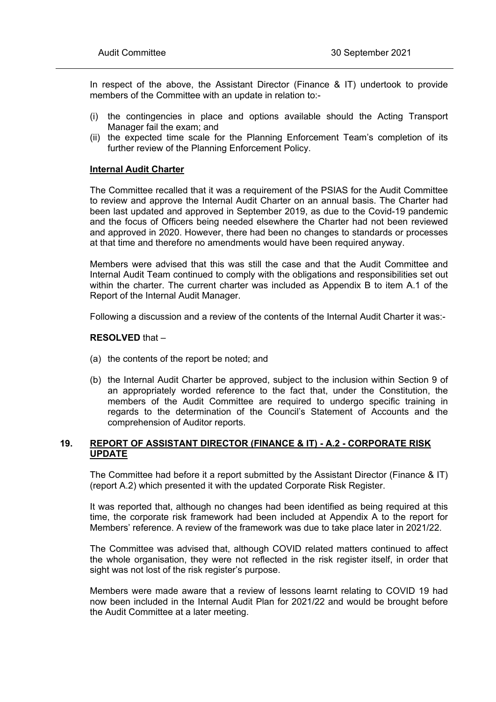In respect of the above, the Assistant Director (Finance & IT) undertook to provide members of the Committee with an update in relation to:-

- (i) the contingencies in place and options available should the Acting Transport Manager fail the exam; and
- (ii) the expected time scale for the Planning Enforcement Team's completion of its further review of the Planning Enforcement Policy.

#### **Internal Audit Charter**

The Committee recalled that it was a requirement of the PSIAS for the Audit Committee to review and approve the Internal Audit Charter on an annual basis. The Charter had been last updated and approved in September 2019, as due to the Covid-19 pandemic and the focus of Officers being needed elsewhere the Charter had not been reviewed and approved in 2020. However, there had been no changes to standards or processes at that time and therefore no amendments would have been required anyway.

Members were advised that this was still the case and that the Audit Committee and Internal Audit Team continued to comply with the obligations and responsibilities set out within the charter. The current charter was included as Appendix B to item A.1 of the Report of the Internal Audit Manager.

Following a discussion and a review of the contents of the Internal Audit Charter it was:-

#### **RESOLVED** that –

- (a) the contents of the report be noted; and
- (b) the Internal Audit Charter be approved, subject to the inclusion within Section 9 of an appropriately worded reference to the fact that, under the Constitution, the members of the Audit Committee are required to undergo specific training in regards to the determination of the Council's Statement of Accounts and the comprehension of Auditor reports.

# **19. REPORT OF ASSISTANT DIRECTOR (FINANCE & IT) - A.2 - CORPORATE RISK UPDATE**

The Committee had before it a report submitted by the Assistant Director (Finance & IT) (report A.2) which presented it with the updated Corporate Risk Register.

It was reported that, although no changes had been identified as being required at this time, the corporate risk framework had been included at Appendix A to the report for Members' reference. A review of the framework was due to take place later in 2021/22.

The Committee was advised that, although COVID related matters continued to affect the whole organisation, they were not reflected in the risk register itself, in order that sight was not lost of the risk register's purpose.

Members were made aware that a review of lessons learnt relating to COVID 19 had now been included in the Internal Audit Plan for 2021/22 and would be brought before the Audit Committee at a later meeting.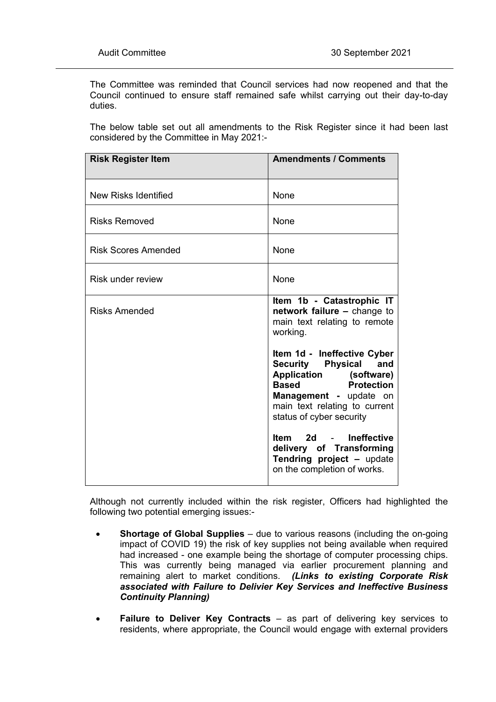The Committee was reminded that Council services had now reopened and that the Council continued to ensure staff remained safe whilst carrying out their day-to-day duties.

The below table set out all amendments to the Risk Register since it had been last considered by the Committee in May 2021:-

| <b>Risk Register Item</b> | <b>Amendments / Comments</b>                                                                                                                                                                                         |
|---------------------------|----------------------------------------------------------------------------------------------------------------------------------------------------------------------------------------------------------------------|
| New Risks Identified      | None                                                                                                                                                                                                                 |
| <b>Risks Removed</b>      | None                                                                                                                                                                                                                 |
| Risk Scores Amended       | None                                                                                                                                                                                                                 |
| Risk under review         | None                                                                                                                                                                                                                 |
| <b>Risks Amended</b>      | Item 1b - Catastrophic IT<br>network failure - change to<br>main text relating to remote<br>working.                                                                                                                 |
|                           | Item 1d - Ineffective Cyber<br><b>Security Physical</b><br>and<br>Application (software)<br><b>Based</b><br><b>Protection</b><br>Management - update on<br>main text relating to current<br>status of cyber security |
|                           | 2d - Ineffective<br>ltem<br>delivery of Transforming<br>Tendring project - update<br>on the completion of works.                                                                                                     |

Although not currently included within the risk register, Officers had highlighted the following two potential emerging issues:-

- **Shortage of Global Supplies** due to various reasons (including the on-going impact of COVID 19) the risk of key supplies not being available when required had increased - one example being the shortage of computer processing chips. This was currently being managed via earlier procurement planning and remaining alert to market conditions. *(Links to existing Corporate Risk associated with Failure to Delivier Key Services and Ineffective Business Continuity Planning)*
- **Failure to Deliver Key Contracts** as part of delivering key services to residents, where appropriate, the Council would engage with external providers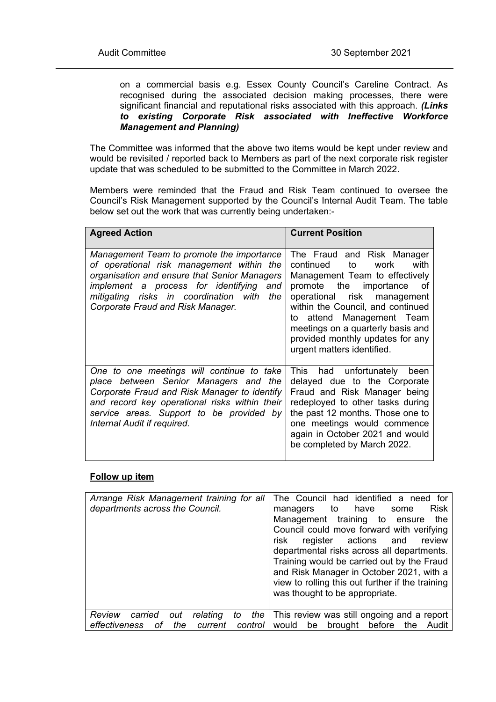on a commercial basis e.g. Essex County Council's Careline Contract. As recognised during the associated decision making processes, there were significant financial and reputational risks associated with this approach. *(Links to existing Corporate Risk associated with Ineffective Workforce Management and Planning)*

The Committee was informed that the above two items would be kept under review and would be revisited / reported back to Members as part of the next corporate risk register update that was scheduled to be submitted to the Committee in March 2022.

Members were reminded that the Fraud and Risk Team continued to oversee the Council's Risk Management supported by the Council's Internal Audit Team. The table below set out the work that was currently being undertaken:-

| <b>Agreed Action</b>                                                                                                                                                                                                                                                   | <b>Current Position</b>                                                                                                                                                                                                                                                                                                                       |
|------------------------------------------------------------------------------------------------------------------------------------------------------------------------------------------------------------------------------------------------------------------------|-----------------------------------------------------------------------------------------------------------------------------------------------------------------------------------------------------------------------------------------------------------------------------------------------------------------------------------------------|
| Management Team to promote the importance<br>of operational risk management within the<br>organisation and ensure that Senior Managers<br>implement a process for identifying and<br>mitigating risks in coordination with<br>the<br>Corporate Fraud and Risk Manager. | The Fraud and Risk Manager<br>with<br>continued<br>to<br>work<br>Management Team to effectively<br>promote the<br>importance<br>οf<br>operational risk management<br>within the Council, and continued<br>attend Management Team<br>to<br>meetings on a quarterly basis and<br>provided monthly updates for any<br>urgent matters identified. |
| One to one meetings will continue to take<br>place between Senior Managers and the<br>Corporate Fraud and Risk Manager to identify<br>and record key operational risks within their<br>service areas. Support to be provided by<br>Internal Audit if required.         | This .<br>had unfortunately<br>been<br>delayed due to the Corporate<br>Fraud and Risk Manager being<br>redeployed to other tasks during<br>the past 12 months. Those one to<br>one meetings would commence<br>again in October 2021 and would<br>be completed by March 2022.                                                                  |

# **Follow up item**

| Arrange Risk Management training for all<br>departments across the Council.                             | The Council had identified a need for<br><b>Risk</b><br>managers<br>have<br>to<br>some<br>Management training<br>the<br>to ensure<br>Council could move forward with verifying<br>register actions<br>risk<br>and<br>review<br>departmental risks across all departments.<br>Training would be carried out by the Fraud<br>and Risk Manager in October 2021, with a<br>view to rolling this out further if the training<br>was thought to be appropriate. |
|---------------------------------------------------------------------------------------------------------|-----------------------------------------------------------------------------------------------------------------------------------------------------------------------------------------------------------------------------------------------------------------------------------------------------------------------------------------------------------------------------------------------------------------------------------------------------------|
| Review<br>carried<br>relating<br>the<br>out<br>to<br>the<br>control  <br>effectiveness<br>оf<br>current | This review was still ongoing and a report<br>would<br>brought<br>before<br>the<br>be<br>Audit                                                                                                                                                                                                                                                                                                                                                            |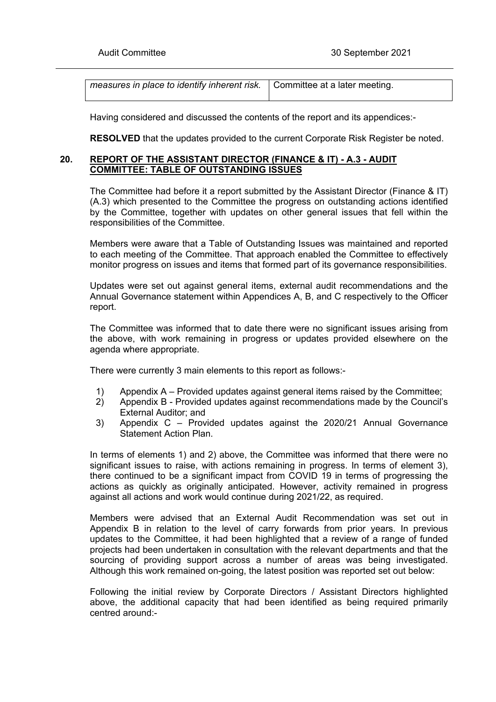| measures in place to identify inherent risk. $\vert$ Committee at a later meeting. |  |
|------------------------------------------------------------------------------------|--|
|------------------------------------------------------------------------------------|--|

Having considered and discussed the contents of the report and its appendices:-

**RESOLVED** that the updates provided to the current Corporate Risk Register be noted.

## **20. REPORT OF THE ASSISTANT DIRECTOR (FINANCE & IT) - A.3 - AUDIT COMMITTEE: TABLE OF OUTSTANDING ISSUES**

The Committee had before it a report submitted by the Assistant Director (Finance & IT) (A.3) which presented to the Committee the progress on outstanding actions identified by the Committee, together with updates on other general issues that fell within the responsibilities of the Committee.

Members were aware that a Table of Outstanding Issues was maintained and reported to each meeting of the Committee. That approach enabled the Committee to effectively monitor progress on issues and items that formed part of its governance responsibilities.

Updates were set out against general items, external audit recommendations and the Annual Governance statement within Appendices A, B, and C respectively to the Officer report.

The Committee was informed that to date there were no significant issues arising from the above, with work remaining in progress or updates provided elsewhere on the agenda where appropriate.

There were currently 3 main elements to this report as follows:-

- 1) Appendix A Provided updates against general items raised by the Committee;
- 2) Appendix B Provided updates against recommendations made by the Council's External Auditor; and
- 3) Appendix C Provided updates against the 2020/21 Annual Governance Statement Action Plan.

In terms of elements 1) and 2) above, the Committee was informed that there were no significant issues to raise, with actions remaining in progress. In terms of element 3), there continued to be a significant impact from COVID 19 in terms of progressing the actions as quickly as originally anticipated. However, activity remained in progress against all actions and work would continue during 2021/22, as required.

Members were advised that an External Audit Recommendation was set out in Appendix B in relation to the level of carry forwards from prior years. In previous updates to the Committee, it had been highlighted that a review of a range of funded projects had been undertaken in consultation with the relevant departments and that the sourcing of providing support across a number of areas was being investigated. Although this work remained on-going, the latest position was reported set out below:

Following the initial review by Corporate Directors / Assistant Directors highlighted above, the additional capacity that had been identified as being required primarily centred around:-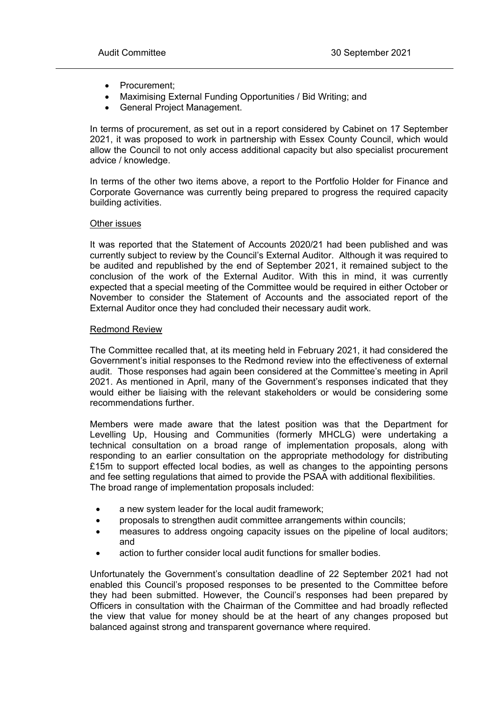- Procurement;
- Maximising External Funding Opportunities / Bid Writing; and
- General Project Management.

In terms of procurement, as set out in a report considered by Cabinet on 17 September 2021, it was proposed to work in partnership with Essex County Council, which would allow the Council to not only access additional capacity but also specialist procurement advice / knowledge.

In terms of the other two items above, a report to the Portfolio Holder for Finance and Corporate Governance was currently being prepared to progress the required capacity building activities.

#### Other issues

It was reported that the Statement of Accounts 2020/21 had been published and was currently subject to review by the Council's External Auditor. Although it was required to be audited and republished by the end of September 2021, it remained subject to the conclusion of the work of the External Auditor. With this in mind, it was currently expected that a special meeting of the Committee would be required in either October or November to consider the Statement of Accounts and the associated report of the External Auditor once they had concluded their necessary audit work.

#### Redmond Review

The Committee recalled that, at its meeting held in February 2021, it had considered the Government's initial responses to the Redmond review into the effectiveness of external audit. Those responses had again been considered at the Committee's meeting in April 2021. As mentioned in April, many of the Government's responses indicated that they would either be liaising with the relevant stakeholders or would be considering some recommendations further.

Members were made aware that the latest position was that the Department for Levelling Up, Housing and Communities (formerly MHCLG) were undertaking a technical consultation on a broad range of implementation proposals, along with responding to an earlier consultation on the appropriate methodology for distributing £15m to support effected local bodies, as well as changes to the appointing persons and fee setting regulations that aimed to provide the PSAA with additional flexibilities. The broad range of implementation proposals included:

- a new system leader for the local audit framework;
- proposals to strengthen audit committee arrangements within councils;
- measures to address ongoing capacity issues on the pipeline of local auditors; and
- action to further consider local audit functions for smaller bodies.

Unfortunately the Government's consultation deadline of 22 September 2021 had not enabled this Council's proposed responses to be presented to the Committee before they had been submitted. However, the Council's responses had been prepared by Officers in consultation with the Chairman of the Committee and had broadly reflected the view that value for money should be at the heart of any changes proposed but balanced against strong and transparent governance where required.